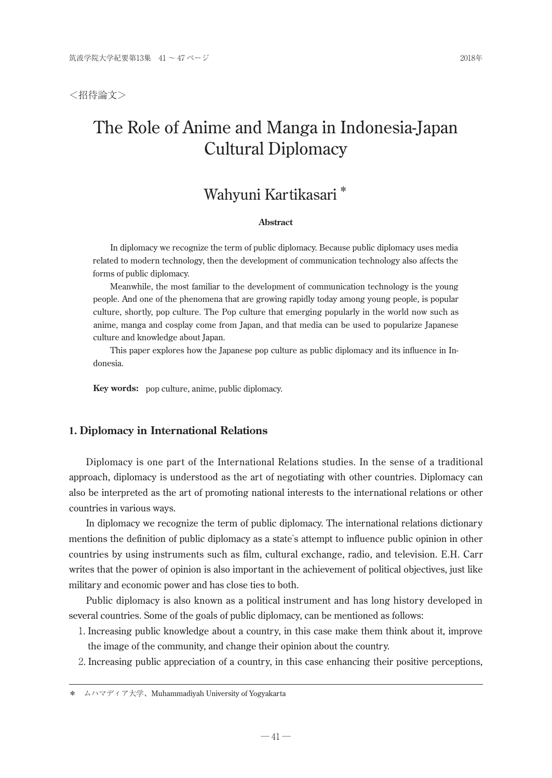<招待論文>

# The Role of Anime and Manga in Indonesia-Japan Cultural Diplomacy

# Wahyuni Kartikasari \*

## **Abstract**

In diplomacy we recognize the term of public diplomacy. Because public diplomacy uses media related to modern technology, then the development of communication technology also affects the forms of public diplomacy.

Meanwhile, the most familiar to the development of communication technology is the young people. And one of the phenomena that are growing rapidly today among young people, is popular culture, shortly, pop culture. The Pop culture that emerging popularly in the world now such as anime, manga and cosplay come from Japan, and that media can be used to popularize Japanese culture and knowledge about Japan.

This paper explores how the Japanese pop culture as public diplomacy and its influence in Indonesia.

**Key words:** pop culture, anime, public diplomacy.

## **1. Diplomacy in International Relations**

Diplomacy is one part of the International Relations studies. In the sense of a traditional approach, diplomacy is understood as the art of negotiating with other countries. Diplomacy can also be interpreted as the art of promoting national interests to the international relations or other countries in various ways.

In diplomacy we recognize the term of public diplomacy. The international relations dictionary mentions the definition of public diplomacy as a state's attempt to influence public opinion in other countries by using instruments such as film, cultural exchange, radio, and television. E.H. Carr writes that the power of opinion is also important in the achievement of political objectives, just like military and economic power and has close ties to both.

Public diplomacy is also known as a political instrument and has long history developed in several countries. Some of the goals of public diplomacy, can be mentioned as follows:

- 1. Increasing public knowledge about a country, in this case make them think about it, improve the image of the community, and change their opinion about the country.
- 2. Increasing public appreciation of a country, in this case enhancing their positive perceptions,

<sup>\*</sup> ムハマディア大学、Muhammadiyah University of Yogyakarta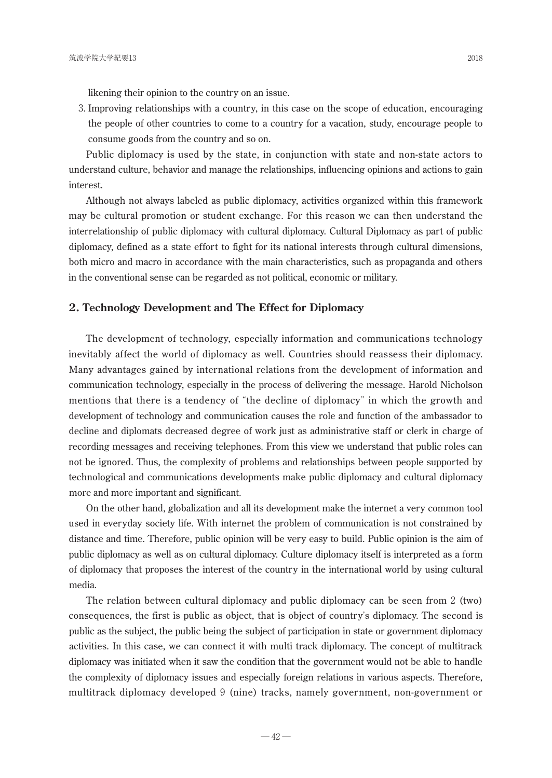likening their opinion to the country on an issue.

3. Improving relationships with a country, in this case on the scope of education, encouraging the people of other countries to come to a country for a vacation, study, encourage people to consume goods from the country and so on.

Public diplomacy is used by the state, in conjunction with state and non-state actors to understand culture, behavior and manage the relationships, influencing opinions and actions to gain interest.

Although not always labeled as public diplomacy, activities organized within this framework may be cultural promotion or student exchange. For this reason we can then understand the interrelationship of public diplomacy with cultural diplomacy. Cultural Diplomacy as part of public diplomacy, defined as a state effort to fight for its national interests through cultural dimensions, both micro and macro in accordance with the main characteristics, such as propaganda and others in the conventional sense can be regarded as not political, economic or military.

## **2. Technology Development and The Effect for Diplomacy**

The development of technology, especially information and communications technology inevitably affect the world of diplomacy as well. Countries should reassess their diplomacy. Many advantages gained by international relations from the development of information and communication technology, especially in the process of delivering the message. Harold Nicholson mentions that there is a tendency of "the decline of diplomacy" in which the growth and development of technology and communication causes the role and function of the ambassador to decline and diplomats decreased degree of work just as administrative staff or clerk in charge of recording messages and receiving telephones. From this view we understand that public roles can not be ignored. Thus, the complexity of problems and relationships between people supported by technological and communications developments make public diplomacy and cultural diplomacy more and more important and significant.

On the other hand, globalization and all its development make the internet a very common tool used in everyday society life. With internet the problem of communication is not constrained by distance and time. Therefore, public opinion will be very easy to build. Public opinion is the aim of public diplomacy as well as on cultural diplomacy. Culture diplomacy itself is interpreted as a form of diplomacy that proposes the interest of the country in the international world by using cultural media.

The relation between cultural diplomacy and public diplomacy can be seen from 2 (two) consequences, the first is public as object, that is object of country's diplomacy. The second is public as the subject, the public being the subject of participation in state or government diplomacy activities. In this case, we can connect it with multi track diplomacy. The concept of multitrack diplomacy was initiated when it saw the condition that the government would not be able to handle the complexity of diplomacy issues and especially foreign relations in various aspects. Therefore, multitrack diplomacy developed 9 (nine) tracks, namely government, non-government or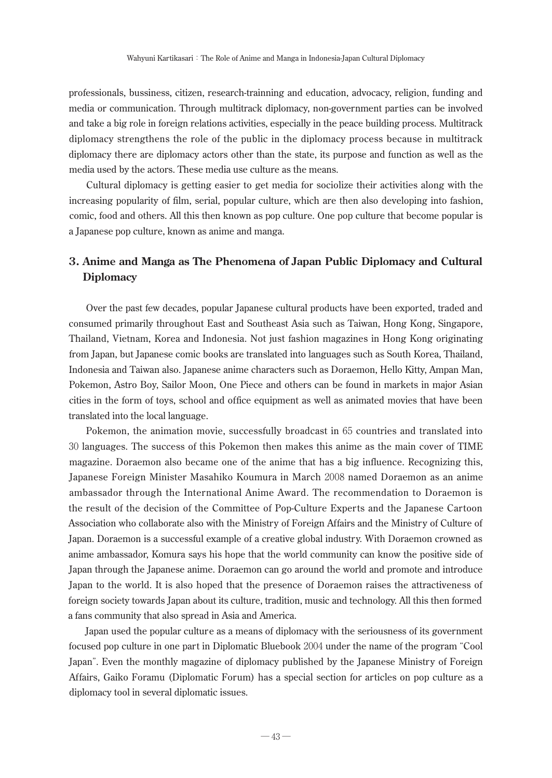professionals, bussiness, citizen, research-trainning and education, advocacy, religion, funding and media or communication. Through multitrack diplomacy, non-government parties can be involved and take a big role in foreign relations activities, especially in the peace building process. Multitrack diplomacy strengthens the role of the public in the diplomacy process because in multitrack diplomacy there are diplomacy actors other than the state, its purpose and function as well as the media used by the actors. These media use culture as the means.

Cultural diplomacy is getting easier to get media for sociolize their activities along with the increasing popularity of film, serial, popular culture, which are then also developing into fashion, comic, food and others. All this then known as pop culture. One pop culture that become popular is a Japanese pop culture, known as anime and manga.

## **3. Anime and Manga as The Phenomena of Japan Public Diplomacy and Cultural Diplomacy**

Over the past few decades, popular Japanese cultural products have been exported, traded and consumed primarily throughout East and Southeast Asia such as Taiwan, Hong Kong, Singapore, Thailand, Vietnam, Korea and Indonesia. Not just fashion magazines in Hong Kong originating from Japan, but Japanese comic books are translated into languages such as South Korea, Thailand, Indonesia and Taiwan also. Japanese anime characters such as Doraemon, Hello Kitty, Ampan Man, Pokemon, Astro Boy, Sailor Moon, One Piece and others can be found in markets in major Asian cities in the form of toys, school and office equipment as well as animated movies that have been translated into the local language.

Pokemon, the animation movie, successfully broadcast in 65 countries and translated into 30 languages. The success of this Pokemon then makes this anime as the main cover of TIME magazine. Doraemon also became one of the anime that has a big influence. Recognizing this, Japanese Foreign Minister Masahiko Koumura in March 2008 named Doraemon as an anime ambassador through the International Anime Award. The recommendation to Doraemon is the result of the decision of the Committee of Pop-Culture Experts and the Japanese Cartoon Association who collaborate also with the Ministry of Foreign Affairs and the Ministry of Culture of Japan. Doraemon is a successful example of a creative global industry. With Doraemon crowned as anime ambassador, Komura says his hope that the world community can know the positive side of Japan through the Japanese anime. Doraemon can go around the world and promote and introduce Japan to the world. It is also hoped that the presence of Doraemon raises the attractiveness of foreign society towards Japan about its culture, tradition, music and technology. All this then formed a fans community that also spread in Asia and America.

Japan used the popular culture as a means of diplomacy with the seriousness of its government focused pop culture in one part in Diplomatic Bluebook 2004 under the name of the program "Cool Japan". Even the monthly magazine of diplomacy published by the Japanese Ministry of Foreign Affairs, Gaiko Foramu (Diplomatic Forum) has a special section for articles on pop culture as a diplomacy tool in several diplomatic issues.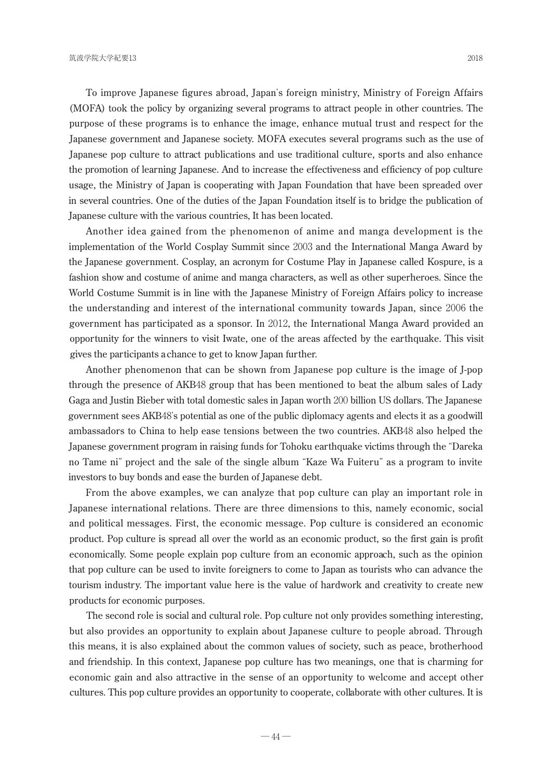To improve Japanese figures abroad, Japan's foreign ministry, Ministry of Foreign Affairs (MOFA) took the policy by organizing several programs to attract people in other countries. The purpose of these programs is to enhance the image, enhance mutual trust and respect for the Japanese government and Japanese society. MOFA executes several programs such as the use of Japanese pop culture to attract publications and use traditional culture, sports and also enhance the promotion of learning Japanese. And to increase the effectiveness and efficiency of pop culture usage, the Ministry of Japan is cooperating with Japan Foundation that have been spreaded over in several countries. One of the duties of the Japan Foundation itself is to bridge the publication of Japanese culture with the various countries, It has been located.

Another idea gained from the phenomenon of anime and manga development is the implementation of the World Cosplay Summit since 2003 and the International Manga Award by the Japanese government. Cosplay, an acronym for Costume Play in Japanese called Kospure, is a fashion show and costume of anime and manga characters, as well as other superheroes. Since the World Costume Summit is in line with the Japanese Ministry of Foreign Affairs policy to increase the understanding and interest of the international community towards Japan, since 2006 the government has participated as a sponsor. In 2012, the International Manga Award provided an opportunity for the winners to visit Iwate, one of the areas affected by the earthquake. This visit gives the participants a chance to get to know Japan further.

Another phenomenon that can be shown from Japanese pop culture is the image of J-pop through the presence of AKB48 group that has been mentioned to beat the album sales of Lady Gaga and Justin Bieber with total domestic sales in Japan worth 200 billion US dollars. The Japanese government sees AKB48's potential as one of the public diplomacy agents and elects it as a goodwill ambassadors to China to help ease tensions between the two countries. AKB48 also helped the Japanese government program in raising funds for Tohoku earthquake victims through the "Dareka no Tame ni" project and the sale of the single album "Kaze Wa Fuiteru" as a program to invite investors to buy bonds and ease the burden of Japanese debt.

From the above examples, we can analyze that pop culture can play an important role in Japanese international relations. There are three dimensions to this, namely economic, social and political messages. First, the economic message. Pop culture is considered an economic product. Pop culture is spread all over the world as an economic product, so the first gain is profit economically. Some people explain pop culture from an economic approach, such as the opinion that pop culture can be used to invite foreigners to come to Japan as tourists who can advance the tourism industry. The important value here is the value of hardwork and creativity to create new products for economic purposes.

The second role is social and cultural role. Pop culture not only provides something interesting, but also provides an opportunity to explain about Japanese culture to people abroad. Through this means, it is also explained about the common values of society, such as peace, brotherhood and friendship. In this context, Japanese pop culture has two meanings, one that is charming for economic gain and also attractive in the sense of an opportunity to welcome and accept other cultures. This pop culture provides an opportunity to cooperate, collaborate with other cultures. It is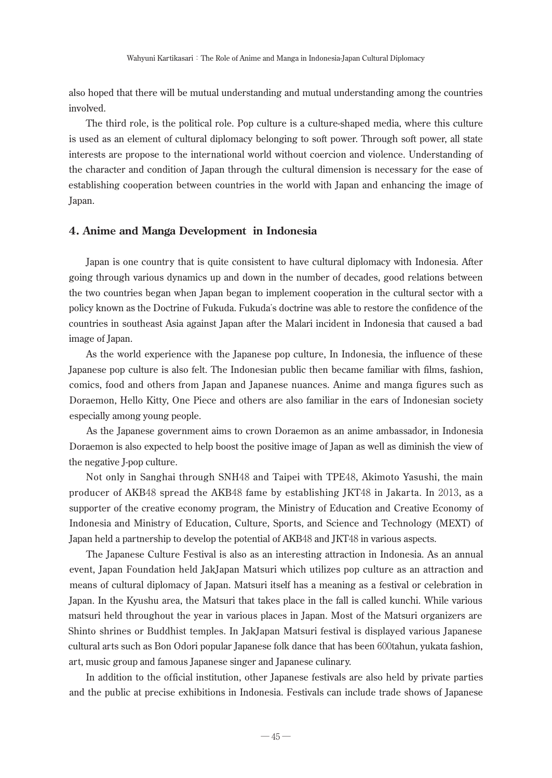also hoped that there will be mutual understanding and mutual understanding among the countries involved.

The third role, is the political role. Pop culture is a culture-shaped media, where this culture is used as an element of cultural diplomacy belonging to soft power. Through soft power, all state interests are propose to the international world without coercion and violence. Understanding of the character and condition of Japan through the cultural dimension is necessary for the ease of establishing cooperation between countries in the world with Japan and enhancing the image of Japan.

## **4. Anime and Manga Development in Indonesia**

Japan is one country that is quite consistent to have cultural diplomacy with Indonesia. After going through various dynamics up and down in the number of decades, good relations between the two countries began when Japan began to implement cooperation in the cultural sector with a policy known as the Doctrine of Fukuda. Fukuda's doctrine was able to restore the confidence of the countries in southeast Asia against Japan after the Malari incident in Indonesia that caused a bad image of Japan.

As the world experience with the Japanese pop culture, In Indonesia, the influence of these Japanese pop culture is also felt. The Indonesian public then became familiar with films, fashion, comics, food and others from Japan and Japanese nuances. Anime and manga figures such as Doraemon, Hello Kitty, One Piece and others are also familiar in the ears of Indonesian society especially among young people.

As the Japanese government aims to crown Doraemon as an anime ambassador, in Indonesia Doraemon is also expected to help boost the positive image of Japan as well as diminish the view of the negative J-pop culture.

Not only in Sanghai through SNH48 and Taipei with TPE48, Akimoto Yasushi, the main producer of AKB48 spread the AKB48 fame by establishing JKT48 in Jakarta. In 2013, as a supporter of the creative economy program, the Ministry of Education and Creative Economy of Indonesia and Ministry of Education, Culture, Sports, and Science and Technology (MEXT) of Japan held a partnership to develop the potential of AKB48 and JKT48 in various aspects.

The Japanese Culture Festival is also as an interesting attraction in Indonesia. As an annual event, Japan Foundation held JakJapan Matsuri which utilizes pop culture as an attraction and means of cultural diplomacy of Japan. Matsuri itself has a meaning as a festival or celebration in Japan. In the Kyushu area, the Matsuri that takes place in the fall is called kunchi. While various matsuri held throughout the year in various places in Japan. Most of the Matsuri organizers are Shinto shrines or Buddhist temples. In JakJapan Matsuri festival is displayed various Japanese cultural arts such as Bon Odori popular Japanese folk dance that has been 600tahun, yukata fashion, art, music group and famous Japanese singer and Japanese culinary.

In addition to the official institution, other Japanese festivals are also held by private parties and the public at precise exhibitions in Indonesia. Festivals can include trade shows of Japanese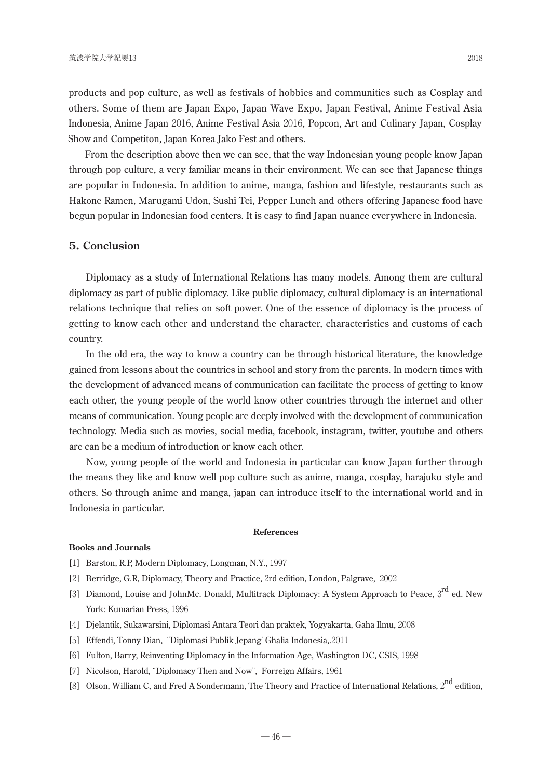products and pop culture, as well as festivals of hobbies and communities such as Cosplay and others. Some of them are Japan Expo, Japan Wave Expo, Japan Festival, Anime Festival Asia Indonesia, Anime Japan 2016, Anime Festival Asia 2016, Popcon, Art and Culinary Japan, Cosplay Show and Competiton, Japan Korea Jako Fest and others.

From the description above then we can see, that the way Indonesian young people know Japan through pop culture, a very familiar means in their environment. We can see that Japanese things are popular in Indonesia. In addition to anime, manga, fashion and lifestyle, restaurants such as Hakone Ramen, Marugami Udon, Sushi Tei, Pepper Lunch and others offering Japanese food have begun popular in Indonesian food centers. It is easy to find Japan nuance everywhere in Indonesia.

## **5. Conclusion**

Diplomacy as a study of International Relations has many models. Among them are cultural diplomacy as part of public diplomacy. Like public diplomacy, cultural diplomacy is an international relations technique that relies on soft power. One of the essence of diplomacy is the process of getting to know each other and understand the character, characteristics and customs of each country.

In the old era, the way to know a country can be through historical literature, the knowledge gained from lessons about the countries in school and story from the parents. In modern times with the development of advanced means of communication can facilitate the process of getting to know each other, the young people of the world know other countries through the internet and other means of communication. Young people are deeply involved with the development of communication technology. Media such as movies, social media, facebook, instagram, twitter, youtube and others are can be a medium of introduction or know each other.

Now, young people of the world and Indonesia in particular can know Japan further through the means they like and know well pop culture such as anime, manga, cosplay, harajuku style and others. So through anime and manga, japan can introduce itself to the international world and in Indonesia in particular.

## **References**

### **Books and Journals**

- [1] Barston, R.P, Modern Diplomacy, Longman, N.Y., 1997
- [2] Berridge, G.R, Diplomacy, Theory and Practice, 2rd edition, London, Palgrave, 2002
- [3] Diamond, Louise and JohnMc. Donald, Multitrack Diplomacy: A System Approach to Peace, 3<sup>rd</sup> ed. New York: Kumarian Press, 1996
- [4] Djelantik, Sukawarsini, Diplomasi Antara Teori dan praktek, Yogyakarta, Gaha Ilmu, 2008
- [5] Effendi, Tonny Dian, "Diplomasi Publik Jepang' Ghalia Indonesia,.2011
- [6] Fulton, Barry, Reinventing Diplomacy in the Information Age, Washington DC, CSIS, 1998
- [7] Nicolson, Harold, "Diplomacy Then and Now", Forreign Affairs, 1961
- [8] Olson, William C, and Fred A Sondermann, The Theory and Practice of International Relations, 2<sup>nd</sup> edition,